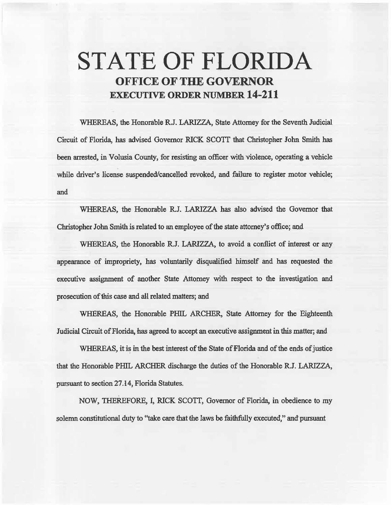# STATE OF FLORIDA OFFICE OF THE GOVERNOR EXECUTIVE ORDER NUMBER 14-211

WHEREAS, the Honorable R.J. LARIZZA, State Attorney for the Seventh Judicial Circuit of Florida, has advised Governor RICK SCOTI that Christopher John Smith has been arrested, in Volusia County, for resisting an officer with violence, operating a vehicle while driver's license suspended/cancelled revoked, and failure to register motor vehicle; and

WHEREAS, the Honorable R.J. LARIZZA has also advised the Governor that Christopher John Smith is related to an employee of the state attorney's office; and

WHEREAS, the Honorable R.J. LARIZZA, to avoid a conflict of interest or any appearance of impropriety, has voluntarily disqualified himself and has requested the executive assignment of another State Attorney with respect to the investigation and prosecution of this case and all related matters; and

WHEREAS, the Honorable PHIL ARCHER, State Attorney for the Eighteenth Judicial Circuit of Florida, has agreed to accept an executive assignment in this matter; and

WHEREAS, it is in the best interest of the State of Florida and of the ends of justice that the Honorable PHIL ARCHER discharge the duties of the Honorable R.J. LARIZZA, pursuant to section 27.14, Florida Statutes.

NOW, THEREFORE, I, RICK SCOTT, Governor of Florida, in obedience to my solemn constitutional duty to "take care that the laws be faithfully executed," and pursuant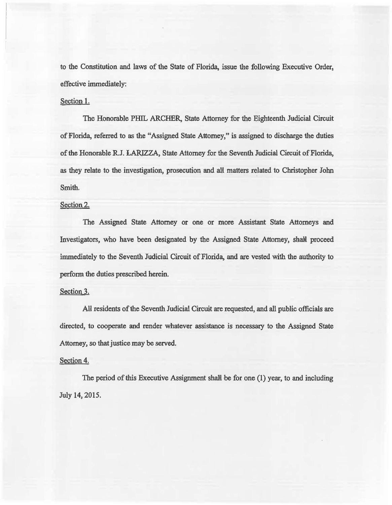to the Constitution and laws of the State of Florida, issue the following Executive Order, effective immediately:

#### Section 1.

The Honorable PHIL ARCHER, State Attorney for the Eighteenth Judicial Circuit of Florida, referred to as the "Assigned State Attorney," is assigned to discharge the duties of the Honorable R.J. LARIZZA, State Attorney for the Seventh Judicial Circuit of Florida, as they relate to the investigation, prosecution and all matters related to Christopher John Smith.

# Section 2.

The Assigned State Attorney or one or more Assistant State Attorneys and Investigators, who have been designated by the Assigned State Attorney, shalt proceed immediately to the Seventh Judicial Circuit of Florida, and are vested with the authority to perform the duties prescribed herein.

## Section 3.

All residents of the Seventh Judicial Circuit are requested, and all public officials are directed, to cooperate and render whatever assistance is necessary to the Assigned State Attorney, so that justice may be served.

## Section 4.

The period of this Executive Assignment shall be for one (1) year, to and including July 14, 2015.